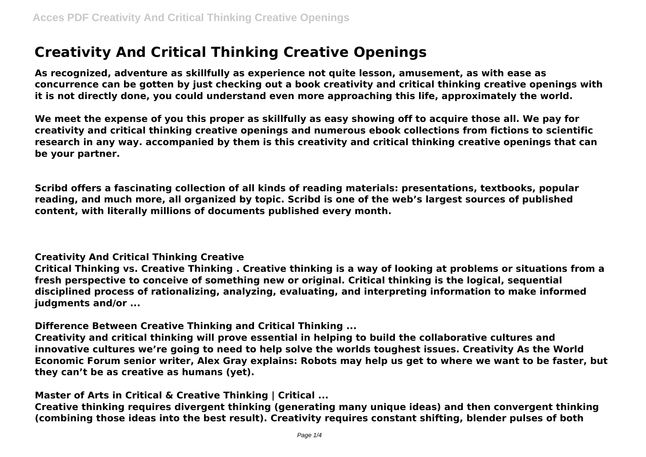## **Creativity And Critical Thinking Creative Openings**

**As recognized, adventure as skillfully as experience not quite lesson, amusement, as with ease as concurrence can be gotten by just checking out a book creativity and critical thinking creative openings with it is not directly done, you could understand even more approaching this life, approximately the world.**

**We meet the expense of you this proper as skillfully as easy showing off to acquire those all. We pay for creativity and critical thinking creative openings and numerous ebook collections from fictions to scientific research in any way. accompanied by them is this creativity and critical thinking creative openings that can be your partner.**

**Scribd offers a fascinating collection of all kinds of reading materials: presentations, textbooks, popular reading, and much more, all organized by topic. Scribd is one of the web's largest sources of published content, with literally millions of documents published every month.**

**Creativity And Critical Thinking Creative**

**Critical Thinking vs. Creative Thinking . Creative thinking is a way of looking at problems or situations from a fresh perspective to conceive of something new or original. Critical thinking is the logical, sequential disciplined process of rationalizing, analyzing, evaluating, and interpreting information to make informed judgments and/or ...**

**Difference Between Creative Thinking and Critical Thinking ...**

**Creativity and critical thinking will prove essential in helping to build the collaborative cultures and innovative cultures we're going to need to help solve the worlds toughest issues. Creativity As the World Economic Forum senior writer, Alex Gray explains: Robots may help us get to where we want to be faster, but they can't be as creative as humans (yet).**

**Master of Arts in Critical & Creative Thinking | Critical ...**

**Creative thinking requires divergent thinking (generating many unique ideas) and then convergent thinking (combining those ideas into the best result). Creativity requires constant shifting, blender pulses of both**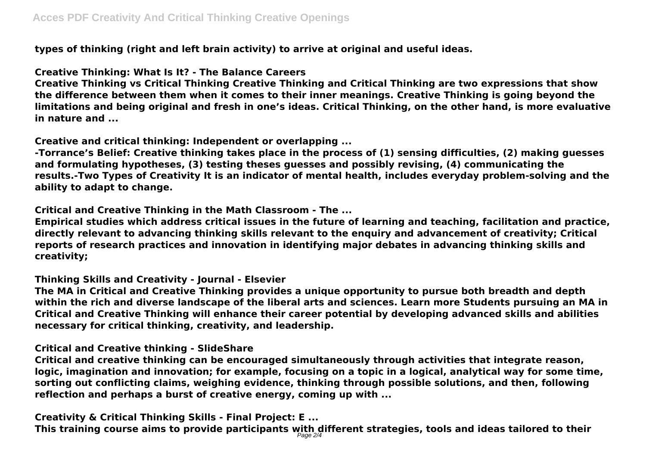**types of thinking (right and left brain activity) to arrive at original and useful ideas.**

## **Creative Thinking: What Is It? - The Balance Careers**

**Creative Thinking vs Critical Thinking Creative Thinking and Critical Thinking are two expressions that show the difference between them when it comes to their inner meanings. Creative Thinking is going beyond the limitations and being original and fresh in one's ideas. Critical Thinking, on the other hand, is more evaluative in nature and ...**

**Creative and critical thinking: Independent or overlapping ...**

**-Torrance's Belief: Creative thinking takes place in the process of (1) sensing difficulties, (2) making guesses and formulating hypotheses, (3) testing theses guesses and possibly revising, (4) communicating the results.-Two Types of Creativity It is an indicator of mental health, includes everyday problem-solving and the ability to adapt to change.**

**Critical and Creative Thinking in the Math Classroom - The ...**

**Empirical studies which address critical issues in the future of learning and teaching, facilitation and practice, directly relevant to advancing thinking skills relevant to the enquiry and advancement of creativity; Critical reports of research practices and innovation in identifying major debates in advancing thinking skills and creativity;**

**Thinking Skills and Creativity - Journal - Elsevier**

**The MA in Critical and Creative Thinking provides a unique opportunity to pursue both breadth and depth within the rich and diverse landscape of the liberal arts and sciences. Learn more Students pursuing an MA in Critical and Creative Thinking will enhance their career potential by developing advanced skills and abilities necessary for critical thinking, creativity, and leadership.**

## **Critical and Creative thinking - SlideShare**

**Critical and creative thinking can be encouraged simultaneously through activities that integrate reason, logic, imagination and innovation; for example, focusing on a topic in a logical, analytical way for some time, sorting out conflicting claims, weighing evidence, thinking through possible solutions, and then, following reflection and perhaps a burst of creative energy, coming up with ...**

**Creativity & Critical Thinking Skills - Final Project: E ... This training course aims to provide participants with different strategies, tools and ideas tailored to their** Page 2/4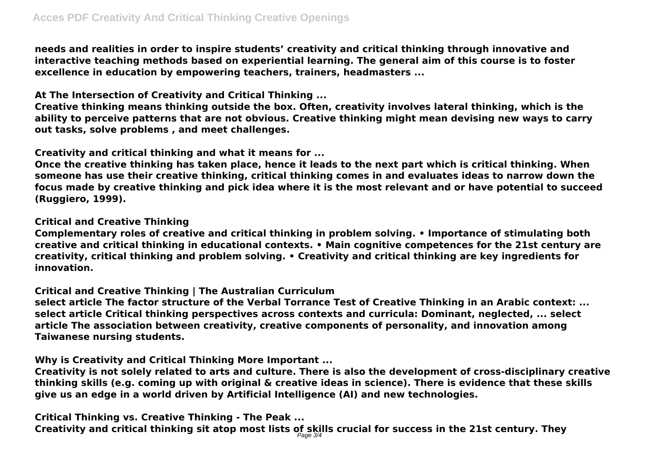**needs and realities in order to inspire students' creativity and critical thinking through innovative and interactive teaching methods based on experiential learning. The general aim of this course is to foster excellence in education by empowering teachers, trainers, headmasters ...**

**At The Intersection of Creativity and Critical Thinking ...**

**Creative thinking means thinking outside the box. Often, creativity involves lateral thinking, which is the ability to perceive patterns that are not obvious. Creative thinking might mean devising new ways to carry out tasks, solve problems , and meet challenges.**

**Creativity and critical thinking and what it means for ...**

**Once the creative thinking has taken place, hence it leads to the next part which is critical thinking. When someone has use their creative thinking, critical thinking comes in and evaluates ideas to narrow down the focus made by creative thinking and pick idea where it is the most relevant and or have potential to succeed (Ruggiero, 1999).**

**Critical and Creative Thinking**

**Complementary roles of creative and critical thinking in problem solving. • Importance of stimulating both creative and critical thinking in educational contexts. • Main cognitive competences for the 21st century are creativity, critical thinking and problem solving. • Creativity and critical thinking are key ingredients for innovation.**

**Critical and Creative Thinking | The Australian Curriculum**

**select article The factor structure of the Verbal Torrance Test of Creative Thinking in an Arabic context: ... select article Critical thinking perspectives across contexts and curricula: Dominant, neglected, ... select article The association between creativity, creative components of personality, and innovation among Taiwanese nursing students.**

**Why is Creativity and Critical Thinking More Important ...**

**Creativity is not solely related to arts and culture. There is also the development of cross-disciplinary creative thinking skills (e.g. coming up with original & creative ideas in science). There is evidence that these skills give us an edge in a world driven by Artificial Intelligence (AI) and new technologies.**

**Critical Thinking vs. Creative Thinking - The Peak ... Creativity and critical thinking sit atop most lists of skills crucial for success in the 21st century. They** Page 3/4